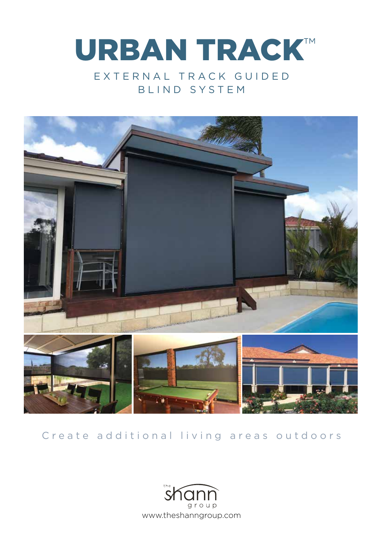



## Create additional living areas outdoors